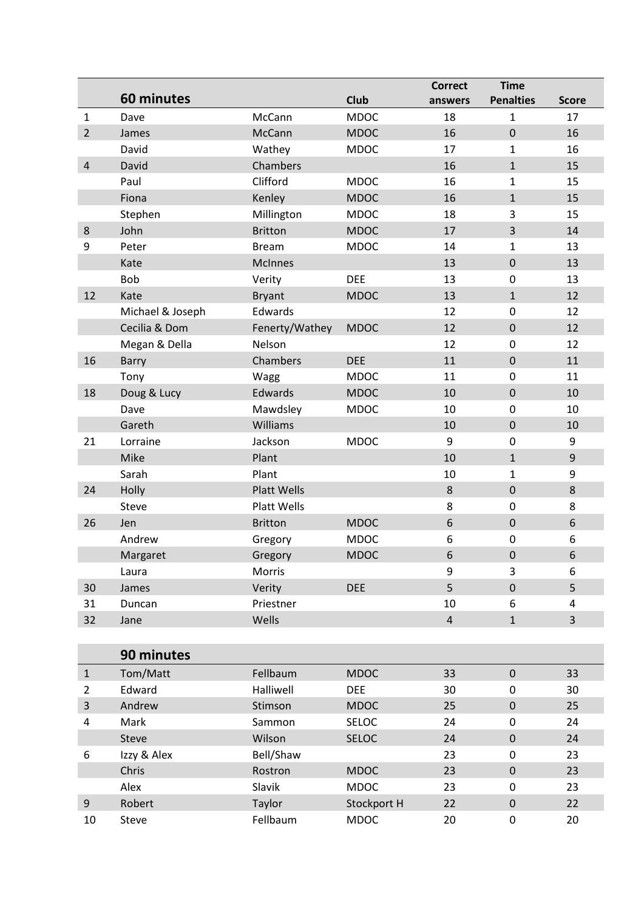|                         |                  |                    |              | <b>Correct</b> | <b>Time</b>      |                |
|-------------------------|------------------|--------------------|--------------|----------------|------------------|----------------|
|                         | 60 minutes       |                    | <b>Club</b>  | answers        | <b>Penalties</b> | <b>Score</b>   |
| $\mathbf{1}$            | Dave             | McCann             | <b>MDOC</b>  | 18             | 1                | 17             |
| $\overline{2}$          | James            | McCann             | <b>MDOC</b>  | 16             | $\mathbf 0$      | 16             |
|                         | David            | Wathey             | <b>MDOC</b>  | 17             | $\mathbf{1}$     | 16             |
| $\overline{4}$          | David            | Chambers           |              | 16             | $\mathbf{1}$     | 15             |
|                         | Paul             | Clifford           | <b>MDOC</b>  | 16             | 1                | 15             |
|                         | Fiona            | Kenley             | <b>MDOC</b>  | 16             | $\mathbf{1}$     | 15             |
|                         | Stephen          | Millington         | <b>MDOC</b>  | 18             | 3                | 15             |
| $\bf 8$                 | John             | <b>Britton</b>     | <b>MDOC</b>  | 17             | 3                | 14             |
| 9                       | Peter            | <b>Bream</b>       | <b>MDOC</b>  | 14             | 1                | 13             |
|                         | Kate             | <b>McInnes</b>     |              | 13             | $\boldsymbol{0}$ | 13             |
|                         | <b>Bob</b>       | Verity             | <b>DEE</b>   | 13             | $\mathbf 0$      | 13             |
| 12                      | Kate             | <b>Bryant</b>      | <b>MDOC</b>  | 13             | $\mathbf{1}$     | 12             |
|                         | Michael & Joseph | Edwards            |              | 12             | $\pmb{0}$        | 12             |
|                         | Cecilia & Dom    | Fenerty/Wathey     | <b>MDOC</b>  | 12             | $\boldsymbol{0}$ | 12             |
|                         | Megan & Della    | Nelson             |              | 12             | $\mathbf 0$      | 12             |
| 16                      | Barry            | Chambers           | <b>DEE</b>   | 11             | $\boldsymbol{0}$ | 11             |
|                         | Tony             | Wagg               | <b>MDOC</b>  | 11             | $\boldsymbol{0}$ | 11             |
| 18                      | Doug & Lucy      | Edwards            | <b>MDOC</b>  | 10             | $\boldsymbol{0}$ | 10             |
|                         | Dave             | Mawdsley           | <b>MDOC</b>  | 10             | $\mathbf 0$      | 10             |
|                         | Gareth           | Williams           |              | 10             | $\pmb{0}$        | 10             |
| 21                      | Lorraine         | Jackson            | <b>MDOC</b>  | 9              | $\pmb{0}$        | 9              |
|                         | Mike             | Plant              |              | 10             | $\mathbf{1}$     | $9\,$          |
|                         | Sarah            | Plant              |              | 10             | 1                | 9              |
| 24                      | Holly            | <b>Platt Wells</b> |              | $\,8\,$        | $\boldsymbol{0}$ | 8              |
|                         | Steve            | Platt Wells        |              | 8              | $\boldsymbol{0}$ | 8              |
| 26                      | Jen              | <b>Britton</b>     | <b>MDOC</b>  | 6              | $\boldsymbol{0}$ | 6              |
|                         | Andrew           | Gregory            | <b>MDOC</b>  | 6              | $\boldsymbol{0}$ | 6              |
|                         | Margaret         | Gregory            | <b>MDOC</b>  | 6              | $\boldsymbol{0}$ | 6              |
|                         | Laura            | Morris             |              | 9              | 3                | 6              |
| 30                      | James            | Verity             | <b>DEE</b>   | 5              | $\boldsymbol{0}$ | 5              |
| 31                      | Duncan           | Priestner          |              | 10             | 6                | 4              |
| 32                      | Jane             | Wells              |              | $\overline{4}$ | $\mathbf{1}$     | $\overline{3}$ |
|                         |                  |                    |              |                |                  |                |
|                         | 90 minutes       |                    |              |                |                  |                |
| $\mathbf{1}$            | Tom/Matt         | Fellbaum           | <b>MDOC</b>  | 33             | $\pmb{0}$        | 33             |
| $\overline{2}$          | Edward           | Halliwell          | <b>DEE</b>   | 30             | $\boldsymbol{0}$ | 30             |
| $\overline{\mathbf{3}}$ | Andrew           | Stimson            | <b>MDOC</b>  | 25             | $\boldsymbol{0}$ | 25             |
| 4                       | Mark             | Sammon             | SELOC        | 24             | $\boldsymbol{0}$ | 24             |
|                         | Steve            | Wilson             | <b>SELOC</b> | 24             | $\boldsymbol{0}$ | 24             |
| 6                       | Izzy & Alex      | Bell/Shaw          |              | 23             | 0                | 23             |
|                         | Chris            | Rostron            | <b>MDOC</b>  | 23             | $\boldsymbol{0}$ | 23             |
|                         | Alex             | Slavik             | <b>MDOC</b>  | 23             | $\boldsymbol{0}$ | 23             |
| $\overline{9}$          | Robert           | Taylor             | Stockport H  | 22             | $\boldsymbol{0}$ | 22             |
| 10                      | Steve            | Fellbaum           | <b>MDOC</b>  | 20             | 0                | 20             |